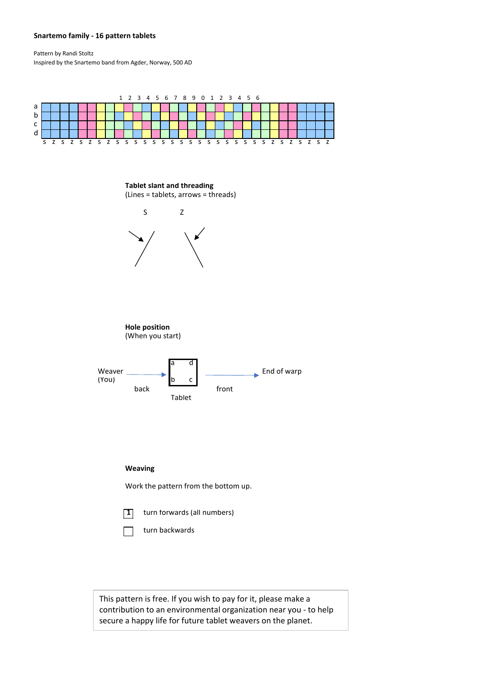## **Snartemo family - 16 pattern tablets**

Pattern by Randi Stoltz Inspired by the Snartemo band from Agder, Norway, 500 AD



This pattern is free. If you wish to pay for it, please make a contribution to an environmental organization near you - to help secure a happy life for future tablet weavers on the planet.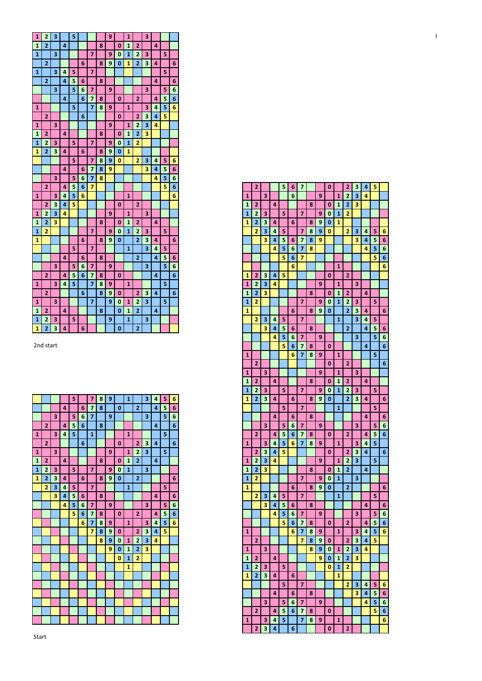| 1 <sup>1</sup> | $\overline{2}$ | $\overline{\mathbf{3}}$ |                         | 5. |                |                         |   | 9 <sup>°</sup> |                | $\mathbf{1}$ |                | $\overline{\mathbf{3}}$ |                |                |   |
|----------------|----------------|-------------------------|-------------------------|----|----------------|-------------------------|---|----------------|----------------|--------------|----------------|-------------------------|----------------|----------------|---|
| 1 <sup>1</sup> | $\overline{2}$ |                         | $\overline{a}$          |    |                |                         | 8 |                | $\mathbf{0}$   | $\mathbf{1}$ | $\overline{2}$ |                         | $\overline{4}$ |                |   |
| 1              |                | $\overline{\mathbf{3}}$ |                         |    |                | $\overline{7}$          |   |                | $9$   0        | $\mathbf{1}$ | $\overline{2}$ | $\overline{\mathbf{3}}$ |                | 5              |   |
|                | $\overline{2}$ |                         |                         |    | 6              |                         | 8 | <u>g</u>       | $\mathbf{0}$   | $\mathbf{1}$ | $\overline{2}$ | $\overline{\mathbf{3}}$ | $\overline{4}$ |                | 6 |
| $\mathbf{1}$   |                | 3                       | 4                       | 5  |                | $\overline{7}$          |   |                |                |              |                |                         |                | 5              |   |
|                | $\overline{2}$ |                         | 4                       | 5  | 6              |                         | 8 |                |                |              |                |                         | 4 <sup>1</sup> |                | 6 |
|                |                | $\overline{3}$          |                         | 5. | 6 <sup>1</sup> | $\overline{7}$          |   | 9 <sup>1</sup> |                |              |                | 3                       |                | 5              | 6 |
|                |                |                         | 4                       |    | 6              | $\overline{7}$          | 8 |                | $\mathbf{0}$   |              | $\overline{2}$ |                         | 4              | 5              | 6 |
| $\mathbf{1}$   |                |                         |                         | 5  |                | $\overline{7}$          | 8 | 9              |                | $\mathbf{1}$ |                | 3                       | $\vert$        | 5              | 6 |
|                | $\overline{2}$ |                         |                         |    | 6              |                         |   |                | $\mathbf{0}$   |              | $\overline{2}$ | 3                       | 4              | 5              |   |
| 1              |                | $\overline{\mathbf{3}}$ |                         |    |                |                         |   | 9 <sup>°</sup> |                | 1            | $\overline{2}$ | $\overline{\mathbf{3}}$ | $\overline{4}$ |                |   |
| 1 <sup>1</sup> | $\overline{2}$ |                         | 4                       |    |                |                         | 8 |                | $\mathbf{0}$   | $\mathbf{1}$ | $\overline{2}$ | $\overline{\mathbf{3}}$ |                |                |   |
|                |                |                         |                         |    |                |                         |   |                |                |              |                |                         |                |                |   |
| $\vert$ 1      | $\overline{2}$ | $\overline{\mathbf{3}}$ |                         | 5. |                | $\overline{7}$          |   | 9 <sub>1</sub> | $\mathbf{0}$   | $\mathbf{1}$ | $\overline{2}$ |                         |                |                |   |
| 1              | $\overline{2}$ | $\overline{\mathbf{3}}$ | $\overline{a}$          |    | 6              |                         | 8 | $\overline{9}$ | $\mathbf{0}$   | 1            |                |                         |                |                |   |
|                |                |                         |                         | 5. |                | $\overline{7}$          | 8 | 9              | $\mathbf{0}$   |              | 2              | $\overline{\mathbf{3}}$ | $\mathbf{A}$   | 5              | 6 |
|                |                |                         | $\overline{\mathbf{4}}$ |    |                | $6 \mid 7$              | 8 | 9              |                |              |                | 3                       | $\vert$ 4      | $\overline{5}$ | 6 |
|                |                | 3                       |                         | 5  | 6 <sup>1</sup> | $\overline{\mathbf{z}}$ | 8 |                |                |              |                |                         | 4 <sup>1</sup> | 5              | 6 |
|                | $\overline{2}$ |                         | 4                       | 5  | 6              | $\overline{7}$          |   |                |                |              |                |                         |                | 5              | 6 |
| $\mathbf{1}$   |                | 3                       | $\overline{4}$          | 5  | 6              |                         |   |                |                | $\mathbf{1}$ |                |                         |                |                | 6 |
|                | $\overline{2}$ | $\overline{\mathbf{3}}$ | $\overline{a}$          | 5  |                |                         |   |                | $\mathbf{0}$   |              | $\overline{2}$ |                         |                |                |   |
| 1 <sup>1</sup> | $\overline{2}$ | $\overline{\mathbf{3}}$ | 4                       |    |                |                         |   | 9              |                | $\mathbf{1}$ |                | $\overline{\mathbf{3}}$ |                |                |   |
| 1              | $\overline{2}$ | 3                       |                         |    |                |                         | 8 |                | $\mathbf{0}$   | $\mathbf{1}$ | $\overline{2}$ |                         | $\overline{4}$ |                |   |
| $\mathbf{1}$   | $\overline{2}$ |                         |                         |    |                | $\overline{7}$          |   | 9              | $\mathbf{0}$   | $\mathbf{1}$ | $\overline{2}$ | 3                       |                | 5              |   |
| $\mathbf{1}$   |                |                         |                         |    | 6              |                         | 8 | $\overline{9}$ | $\mathbf{0}$   |              | $\overline{2}$ | $\overline{\mathbf{3}}$ | 4              |                | 6 |
|                |                |                         |                         | 5  |                | $\overline{7}$          |   |                |                | $\mathbf{1}$ |                | 3                       | $\overline{4}$ | 5              |   |
|                |                |                         | $\overline{\mathbf{4}}$ |    | 6              |                         | 8 |                |                |              | $\overline{2}$ |                         |                | 4 5            | 6 |
|                |                | 3                       |                         | 5  | $6\phantom{1}$ | $\overline{\mathbf{z}}$ |   | 9 <sub>1</sub> |                |              |                | 3                       |                | 5              | 6 |
|                |                |                         |                         |    |                |                         |   |                |                |              |                |                         |                |                |   |
|                | $\overline{2}$ |                         | 4                       | 5  | 6              | $\overline{\mathbf{z}}$ | 8 |                | $\mathbf{0}$   |              |                |                         | $\vert$        |                | 6 |
| $\mathbf{1}$   |                | 3                       | 4                       | 5  |                | $\overline{7}$          | 8 | $\overline{9}$ |                | $\mathbf{1}$ |                |                         |                | 5              |   |
|                | $\overline{2}$ |                         |                         |    | 6 <sup>1</sup> |                         | 8 | $\overline{9}$ | $\mathbf{0}$   |              | 2              | $\overline{\mathbf{3}}$ | $\overline{a}$ |                | 6 |
| $\mathbf{1}$   |                | $\overline{\mathbf{3}}$ |                         |    |                | $\overline{7}$          |   | 9              | $\mathbf{0}$   | $\mathbf{1}$ | $\vert$ 2      | $\overline{\mathbf{3}}$ |                | 5              |   |
| 1 <sup>1</sup> | $\overline{2}$ |                         | 4                       |    |                |                         | 8 |                | $\mathbf{0}$   | $\mathbf{1}$ | $\overline{2}$ |                         | $\overline{4}$ |                |   |
| $\mathbf{1}$   | $\overline{2}$ | $\overline{\mathbf{3}}$ |                         | 5  |                |                         |   | 9              |                | $\mathbf{1}$ |                | 3                       |                |                |   |
| 1 2            |                |                         | 3 4                     |    | 6 <sup>1</sup> |                         |   |                | $\overline{0}$ |              | 2 <sup>1</sup> |                         |                |                |   |

2nd start

|              |                |   |   | 5 |   | $\overline{7}$ | 8 | 9 |              | $\mathbf{1}$ |                | 3 | 4 | 5 | 6 |
|--------------|----------------|---|---|---|---|----------------|---|---|--------------|--------------|----------------|---|---|---|---|
|              |                |   | 4 |   | 6 | $\overline{7}$ | 8 |   | 0            |              | $\overline{2}$ |   | 4 | 5 | 6 |
|              |                | 3 |   | 5 | 6 | 7              |   | 9 |              |              |                | 3 |   | 5 | 6 |
|              | $\overline{2}$ |   | 4 | 5 | 6 |                | 8 |   |              |              |                |   | 4 |   | 6 |
| $\mathbf{1}$ |                | 3 | 4 | 5 |   | $\mathbf{1}$   |   |   |              | $\mathbf{1}$ |                |   |   | 5 |   |
|              | $\overline{2}$ |   |   |   | 6 |                |   |   | 0            |              | 2              | 3 | 4 |   | 6 |
| $\mathbf{1}$ |                | 3 |   |   |   |                |   | 9 |              | $\mathbf{1}$ | $\overline{2}$ | 3 |   | 5 |   |
| $\mathbf{1}$ | $\overline{2}$ |   | 4 |   |   |                | 8 |   | 0            | $\mathbf{1}$ | $\overline{2}$ |   | 4 |   |   |
| $\mathbf{1}$ | $\overline{2}$ | 3 |   | 5 |   | $\overline{7}$ |   | 9 | $\bf{0}$     | 1            |                | 3 |   |   |   |
| $\mathbf{1}$ | $\overline{2}$ | 3 | 4 |   | 6 |                | 8 | 9 | $\mathbf{0}$ |              | $\overline{2}$ |   |   |   | 6 |
|              | $\overline{2}$ | 3 | 4 | 5 |   | $\overline{7}$ |   |   |              | 1            |                |   |   | 5 |   |
|              |                | 3 | 4 | 5 | 6 |                | 8 |   |              |              |                |   | 4 |   | 6 |
|              |                |   | 4 | 5 | 6 | $\overline{z}$ |   | 9 |              |              |                | 3 |   | 5 | 6 |
|              |                |   |   | 5 | 6 | 7              | 8 |   | 0            |              | $\overline{2}$ |   | 4 | 5 | 6 |
|              |                |   |   |   | 6 | 7              | 8 | 9 |              | $\mathbf{1}$ |                | 3 | 4 | 5 | 6 |
|              |                |   |   |   |   | $\overline{7}$ | 8 | 9 | 0            |              | $\overline{2}$ | 3 | 4 | 5 |   |
|              |                |   |   |   |   |                | 8 | 9 | 0            | 1            | $\overline{2}$ | 3 | 4 |   |   |
|              |                |   |   |   |   |                |   | 9 | 0            | $\mathbf{1}$ | $\overline{2}$ | 3 |   |   |   |
|              |                |   |   |   |   |                |   |   | $\bf{0}$     | 1            | $\overline{2}$ |   |   |   |   |
|              |                |   |   |   |   |                |   |   |              | 1            |                |   |   |   |   |
|              |                |   |   |   |   |                |   |   |              |              |                |   |   |   |   |
|              |                |   |   |   |   |                |   |   |              |              |                |   |   |   |   |
|              |                |   |   |   |   |                |   |   |              |              |                |   |   |   |   |
|              |                |   |   |   |   |                |   |   |              |              |                |   |   |   |   |
|              |                |   |   |   |   |                |   |   |              |              |                |   |   |   |   |
|              |                |   |   |   |   |                |   |   |              |              |                |   |   |   |   |

|                  | $\overline{2}$ |                         | $\vert$                 | $\overline{5}$          | 6                | $\overline{7}$          |                  |                  |              |              |                |                         |                          | 5                       | $\boldsymbol{6}$        |
|------------------|----------------|-------------------------|-------------------------|-------------------------|------------------|-------------------------|------------------|------------------|--------------|--------------|----------------|-------------------------|--------------------------|-------------------------|-------------------------|
| 1                |                | 3 <sup>1</sup>          | 4                       | 5                       | 6                |                         |                  |                  |              | $\mathbf{1}$ |                |                         |                          |                         | 6                       |
|                  | $\mathbf{2}$   | 3                       | $\overline{4}$          | 5                       |                  |                         |                  |                  | $\mathbf{0}$ |              | $\overline{2}$ |                         |                          |                         |                         |
| $\mathbf{1}$     | $\overline{2}$ | 3 <sup>1</sup>          | 4                       |                         |                  |                         |                  | 9                |              | $\mathbf{1}$ |                | 3                       |                          |                         |                         |
| $\mathbf{1}$     | $\overline{2}$ | $\overline{\mathbf{3}}$ |                         |                         |                  |                         | 8                |                  | $\mathbf{0}$ | $\mathbf{1}$ | $\overline{2}$ |                         | 4                        |                         |                         |
| 1                | $\overline{2}$ |                         |                         |                         |                  | $\overline{7}$          |                  | 9                | $\mathbf 0$  | $\mathbf{1}$ | $\overline{2}$ | $\overline{\mathbf{3}}$ |                          | 5                       |                         |
| 1                |                |                         |                         |                         | 6                |                         | 8                | $\boldsymbol{9}$ | $\mathbf{0}$ |              | $\mathbf 2$    | $\overline{\mathbf{3}}$ | 4                        |                         | 6                       |
|                  |                |                         |                         | 5                       |                  | $\overline{7}$          |                  |                  |              | $\mathbf{1}$ |                | 3                       | 4                        | -5                      |                         |
|                  |                |                         | $\overline{4}$          |                         | 6                |                         | 8                |                  |              |              | $\overline{2}$ |                         | 4                        | $\overline{5}$          | 6                       |
|                  |                | 3 <sup>1</sup>          |                         | 5                       | 6                | $\overline{7}$          |                  | 9                |              |              |                | 3                       |                          | $\overline{\mathbf{5}}$ | $\boldsymbol{6}$        |
|                  | $\overline{2}$ |                         |                         | 4 5                     | $6\phantom{1}$   | $\overline{7}$          | 8                |                  | $\mathbf{0}$ |              |                |                         | 4                        |                         | $6\phantom{1}$          |
| $\mathbf{1}$     |                | 3 <sup>1</sup>          | $\overline{a}$          | $\overline{\mathbf{5}}$ |                  | $\overline{7}$          | $\boldsymbol{8}$ | 9                |              | $\mathbf{1}$ |                |                         |                          | 5                       |                         |
|                  | $\overline{2}$ |                         |                         |                         | 6                |                         | $\bf{8}$         | 9                | $\mathbf{0}$ |              | $\overline{2}$ | $\mathbf{3}$            | 4                        |                         | 6                       |
| $\mathbf{1}$     |                | 3 <sup>1</sup>          |                         |                         |                  | $\overline{7}$          |                  | 9                |              | 0 1          | $\overline{2}$ | 3                       |                          | 5                       |                         |
| $\mathbf{1}$     | $\overline{2}$ |                         | $\overline{\mathbf{4}}$ |                         |                  |                         | 8                |                  | $\mathbf{0}$ | $\mathbf{1}$ | $\overline{2}$ |                         | 4                        |                         |                         |
| $\mathbf{1}$ $ $ | $\overline{2}$ | 3 <sup>1</sup>          |                         | 5                       |                  |                         |                  | 9                |              | $\mathbf{1}$ |                | 3                       |                          |                         |                         |
| $\mathbf{1}$     | 2              | $\vert$ 3               | $\boldsymbol{4}$        |                         | $\boldsymbol{6}$ |                         |                  |                  | $\mathbf{0}$ |              | $\overline{2}$ |                         |                          |                         |                         |
|                  |                |                         |                         |                         |                  |                         |                  |                  |              |              |                |                         |                          |                         |                         |
|                  | nd start!      |                         |                         |                         |                  |                         |                  |                  |              |              |                |                         |                          |                         |                         |
|                  |                |                         |                         |                         |                  |                         |                  |                  |              |              |                |                         |                          |                         |                         |
|                  |                |                         |                         |                         |                  |                         |                  |                  |              |              |                |                         |                          |                         |                         |
|                  |                |                         |                         |                         |                  |                         |                  |                  |              |              |                |                         |                          |                         |                         |
|                  |                |                         |                         |                         |                  |                         |                  |                  |              |              |                |                         |                          |                         |                         |
|                  |                |                         |                         |                         |                  |                         |                  |                  |              |              |                |                         |                          |                         |                         |
|                  |                |                         |                         | 5                       |                  | $\overline{\mathbf{z}}$ | $\boldsymbol{8}$ | 9                |              | $\mathbf{1}$ |                | 3                       | $\vert \mathbf{a} \vert$ | $\overline{\mathbf{5}}$ | $\boldsymbol{6}$        |
|                  |                |                         | 4                       |                         | 6                | $\overline{7}$          | 8                |                  | $\mathbf{0}$ |              | $\overline{2}$ |                         | 4                        | $\overline{\mathbf{5}}$ | $\overline{\mathbf{6}}$ |
|                  |                | 3                       |                         | 5                       | 6                | $\overline{7}$          |                  | 9                |              |              |                | 3                       |                          | $\overline{\mathbf{5}}$ | $\boldsymbol{6}$        |
|                  | $\overline{2}$ |                         |                         | 4 5                     | $6\phantom{1}$   |                         | 8                |                  |              |              |                |                         | 4                        |                         | $6\phantom{1}$          |
| 1                |                | 3 <sup>1</sup>          | $\sim$                  | 5                       |                  | $\mathbf{1}$            |                  |                  |              | 1            |                |                         |                          | 5                       |                         |
|                  | $\overline{2}$ |                         |                         |                         | 6                |                         |                  |                  | $\mathbf{0}$ |              | $\overline{2}$ | 3                       | 4                        |                         | 6                       |
| $\mathbf{1}$     |                | 3 <sup>1</sup>          |                         |                         |                  |                         |                  | 9                |              | $\mathbf{1}$ | $\overline{2}$ | $\overline{\mathbf{3}}$ |                          | 5                       |                         |
| $\mathbf{1}$     | $\overline{2}$ |                         | 4                       |                         |                  |                         | 8                |                  | $\mathbf{0}$ | $\mathbf{1}$ | $\overline{2}$ |                         | 4                        |                         |                         |
| $\mathbf{1}$     | 2              | 3 <sup>1</sup>          |                         | 5 <sup>1</sup>          |                  | 7 <sup>1</sup>          |                  | 9                | $\mathbf{0}$ | $\mathbf{1}$ |                | 3                       |                          |                         |                         |
| 1                | $\overline{2}$ | 3 <sup>1</sup>          | 4                       |                         | $6 \overline{6}$ |                         | 8                | 9                | $\mathbf{0}$ |              | $\overline{2}$ |                         |                          |                         | 6                       |
|                  | $\overline{2}$ | 3 <sup>2</sup>          | $\mathbf{4}$            | 5                       |                  | $\overline{7}$          |                  |                  |              | $\mathbf{1}$ |                |                         |                          | 5                       |                         |
|                  |                | 3 <sup>1</sup>          | $\sim$                  | 5 <sub>1</sub>          | 6                |                         | 8                |                  |              |              |                |                         | 4                        |                         | 6                       |
|                  |                |                         | 4 <sup>1</sup>          | 5                       | 6                | $\overline{7}$          |                  | 9                |              |              |                | 3                       |                          | 5                       | $\boldsymbol{6}$        |
|                  |                |                         |                         | 5                       | 6                | $\overline{\mathbf{z}}$ | $\boldsymbol{8}$ |                  | $\mathbf{0}$ |              | $\overline{2}$ |                         | 4                        | ${\bf 5}$               | $\boldsymbol{6}$        |
|                  |                |                         |                         |                         | 6                | $\overline{7}$          | $\bf8$           | $\boldsymbol{9}$ |              | $\mathbf{1}$ |                | $\overline{\mathbf{3}}$ | $\vert$ 4                | ${\bf 5}$               | $6\phantom{a}$          |
|                  |                |                         |                         |                         |                  | $\overline{7}$          | $\bf{8}$         | 9                |              |              | $\mathbf{2}$   | $\mathbf{3}$            | $\overline{\mathbf{a}}$  | ${\bf 5}$               |                         |
|                  |                |                         |                         |                         |                  |                         | 8 <sup>1</sup>   |                  | $\mathbf{0}$ |              |                | 901234                  |                          |                         |                         |
|                  |                |                         |                         |                         |                  |                         |                  |                  |              |              |                | $\overline{\mathbf{3}}$ |                          |                         |                         |
|                  |                |                         |                         |                         |                  |                         |                  | 9                | $\bf{0}$     | $\mathbf{1}$ | $\mathbf 2$    |                         |                          |                         |                         |
|                  |                |                         |                         |                         |                  |                         |                  |                  | 0            | $\mathbf{1}$ | $\overline{2}$ |                         |                          |                         |                         |
|                  |                |                         |                         |                         |                  |                         |                  |                  |              | $\mathbf{1}$ |                |                         |                          |                         |                         |
|                  |                |                         |                         |                         |                  |                         |                  |                  |              |              |                |                         |                          |                         |                         |
|                  |                |                         |                         |                         |                  |                         |                  |                  |              |              |                |                         |                          |                         |                         |
|                  |                |                         |                         |                         |                  |                         |                  |                  |              |              |                |                         |                          |                         |                         |
|                  |                |                         |                         |                         |                  |                         |                  |                  |              |              |                |                         |                          |                         |                         |
|                  |                |                         |                         |                         |                  |                         |                  |                  |              |              |                |                         |                          |                         |                         |
|                  |                |                         |                         |                         |                  |                         |                  |                  |              |              |                |                         |                          |                         |                         |
|                  |                |                         |                         |                         |                  |                         |                  |                  |              |              |                |                         |                          |                         |                         |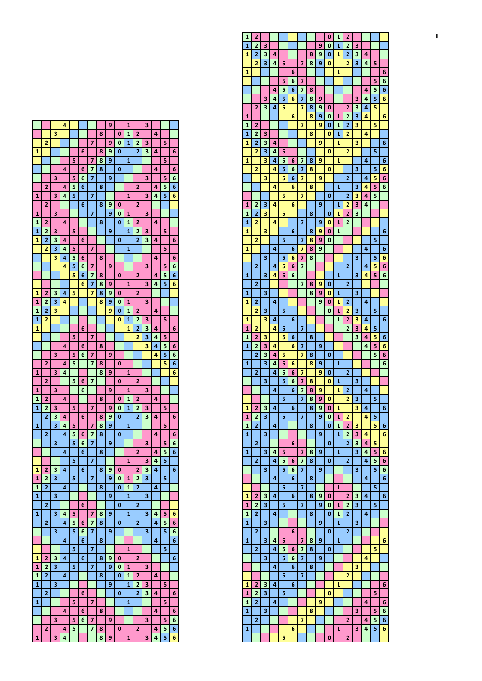|                |                         |   | 4 |   |   |   |   | 9 |             | $\overline{1}$ |                         | 3 |   |   |   |
|----------------|-------------------------|---|---|---|---|---|---|---|-------------|----------------|-------------------------|---|---|---|---|
|                |                         | 3 |   |   |   |   | 8 |   | 0           | $\mathbf{1}$   | 2                       |   | 4 |   |   |
|                | $\overline{2}$          |   |   |   |   | 7 |   | 9 | 0           | $\overline{1}$ | $\overline{2}$          | 3 |   | 5 |   |
| $\mathbf{1}$   |                         |   |   |   | 6 |   | 8 | 9 | 0           |                | 2                       | 3 | 4 |   | 6 |
|                |                         |   |   | 5 |   | 7 | 8 | 9 |             | 1              |                         |   |   | 5 |   |
|                |                         |   | 4 |   | 6 | 7 | 8 |   | 0           |                |                         |   | 4 |   | 6 |
|                |                         | 3 |   | 5 | 6 | 7 |   | 9 |             |                |                         | 3 |   | 5 | 6 |
|                | $\overline{\mathbf{c}}$ |   | 4 | 5 | 6 |   | 8 |   |             |                | 2                       |   | 4 | 5 | 6 |
|                |                         |   |   |   |   |   |   |   |             |                |                         |   |   |   |   |
| 1              |                         | 3 | 4 | 5 |   | 7 |   |   |             | 1              |                         | 3 | 4 | 5 | 6 |
|                | 2                       |   |   |   | 6 |   | 8 | 9 | 0           |                | 2                       |   |   |   |   |
| $\overline{1}$ |                         | 3 |   |   |   | 7 |   | 9 | 0           | 1              |                         | 3 |   |   |   |
| 1              | 2                       |   | 4 |   |   |   | 8 |   | 0           | 1              | 2                       |   | 4 |   |   |
| $\overline{1}$ | $\overline{2}$          | 3 |   | 5 |   |   |   | 9 |             | 1              | 2                       | 3 |   | 5 |   |
| 1              | 2                       | 3 | 4 |   | 6 |   |   |   | 0           |                | 2                       | 3 | 4 |   | 6 |
|                | $\overline{2}$          | 3 | 4 | 5 |   | 7 |   |   |             | 1              |                         |   |   | 5 |   |
|                |                         | з | 4 | 5 | 6 |   | 8 |   |             |                |                         |   | 4 |   | 6 |
|                |                         |   | 4 | 5 | 6 | 7 |   | 9 |             |                |                         | 3 |   | 5 | 6 |
|                |                         |   |   |   |   |   |   |   |             |                |                         |   |   |   |   |
|                |                         |   |   | 5 | 6 | 7 | 8 |   | 0           |                | 2                       |   | 4 | 5 | 6 |
|                |                         |   |   |   | 6 | 7 | 8 | 9 |             | 1              |                         | з | 4 | 5 | 6 |
| 1              | 2                       | 3 | 4 | 5 |   | 7 | 8 | 9 | 0           |                | 2                       |   |   |   |   |
| 1              | $\overline{2}$          | 3 | 4 |   |   |   | 8 | 9 | 0           | 1              |                         | з |   |   |   |
| $\overline{1}$ | $\overline{2}$          | 3 |   |   |   |   |   | 9 | 0           | 1              | 2                       |   | 4 |   |   |
| 1              | 2                       |   |   |   |   |   |   |   | 0           | $\overline{1}$ | $\overline{2}$          | 3 |   | 5 |   |
| 1              |                         |   |   |   | 6 |   |   |   |             | 1              | 2                       | 3 | 4 |   | 6 |
|                |                         |   |   | 5 |   | 7 |   |   |             |                | 2                       | 3 | 4 | 5 |   |
|                |                         |   | 4 |   | 6 |   | 8 |   |             |                |                         | 3 | 4 | 5 | 6 |
|                |                         |   |   |   |   |   |   |   |             |                |                         |   |   |   |   |
|                |                         | 3 |   | 5 | 6 | 7 |   | 9 |             |                |                         |   | 4 | 5 | 6 |
|                | 2                       |   | 4 | 5 |   | 7 | 8 |   | 0           |                |                         |   |   | 5 | 6 |
| $\overline{1}$ |                         | 3 | 4 |   |   |   | 8 | 9 |             | $\mathbf{1}$   |                         |   |   |   | 6 |
|                | 2                       |   |   | 5 | 6 | 7 |   |   | 0           |                | 2                       |   |   |   |   |
| 1              |                         | 3 |   |   | 6 |   |   | 9 |             | 1              |                         | 3 |   |   |   |
| 1              | $\overline{2}$          |   | 4 |   |   |   | 8 |   | 0           | 1              | $\overline{2}$          |   | 4 |   |   |
| 1              | $\overline{2}$          | 3 |   | 5 |   | 7 |   | 9 | 0           | $\overline{1}$ | $\overline{2}$          | 3 |   | 5 |   |
|                | 2                       | 3 | 4 |   | 6 |   | 8 | 9 | 0           |                | 2                       | 3 | 4 |   | 6 |
|                |                         |   |   |   |   |   |   |   |             |                |                         |   |   |   |   |
| $\overline{1}$ |                         | 3 | 4 | 5 |   | 7 | 8 | 9 |             | 1              |                         |   |   | 5 |   |
|                | $\overline{2}$          |   | 4 | 5 | 6 | 7 | 8 |   | $\mathbf 0$ |                |                         |   | 4 |   | 6 |
|                |                         | 3 |   | 5 | 6 | 7 |   | 9 |             |                |                         | з |   | 5 | 6 |
|                |                         |   | 4 |   | 6 |   | 8 |   |             |                | 2                       |   | 4 | 5 | 6 |
|                |                         |   |   | 5 |   | 7 |   |   |             | 1              |                         | 3 | 4 | 5 |   |
| 1              | 2                       | 3 | 4 |   | 6 |   | 8 | 9 | 0           |                | 2                       | 3 | 4 |   | 6 |
| 1              | 2                       | 3 |   | 5 |   | 7 |   | 9 | 0           | 1              | $\overline{\mathbf{z}}$ | 3 |   | 5 |   |
| $\mathbf{1}$   | $\overline{\mathbf{c}}$ |   | 4 |   |   |   | 8 |   | 0           | 1              | $\overline{\mathbf{c}}$ |   | 4 |   |   |
| $\mathbf{1}$   |                         | 3 |   |   |   |   |   | 9 |             | 1              |                         | 3 |   |   |   |
|                | $\overline{\mathbf{c}}$ |   |   |   |   |   |   |   |             |                |                         |   |   |   |   |
|                |                         |   |   |   | 6 |   |   |   | 0           |                | 2                       |   |   |   |   |
| $\mathbf{1}$   |                         | 3 | 4 | 5 |   | 7 | 8 | 9 |             | $\mathbf{1}$   |                         | 3 | 4 | 5 | 6 |
|                | $\overline{\mathbf{c}}$ |   | 4 | 5 | 6 | 7 | 8 |   | 0           |                | 2                       |   | 4 | 5 | 6 |
|                |                         | 3 |   | 5 | 6 | 7 |   | 9 |             |                |                         | 3 |   | 5 | 6 |
|                |                         |   | 4 |   | 6 |   | 8 |   |             |                |                         |   | 4 |   | 6 |
|                |                         |   |   | 5 |   | 7 |   |   |             | 1              |                         |   |   | 5 |   |
| $\mathbf{1}$   | 2                       | 3 | 4 |   | 6 |   | 8 | 9 | 0           |                | $\overline{\mathbf{c}}$ |   |   |   | 6 |
| 1              | 2                       | 3 |   | 5 |   | 7 |   | 9 | 0           | 1              |                         | 3 |   |   |   |
| 1              | 2                       |   | 4 |   |   |   | 8 |   | 0           | 1              | 2                       |   | 4 |   |   |
| 1              |                         | 3 |   |   |   |   |   | 9 |             | 1              | $\overline{\mathbf{c}}$ | 3 |   | 5 |   |
|                |                         |   |   |   |   |   |   |   |             |                |                         |   |   |   |   |
|                | $\overline{\mathbf{c}}$ |   |   |   | 6 |   |   |   | 0           |                | $\overline{\mathbf{c}}$ | 3 | 4 |   | 6 |
| 1              |                         |   |   | 5 |   | 7 |   |   |             | 1              |                         |   |   | 5 |   |
|                |                         |   | 4 |   | 6 |   | 8 |   |             |                |                         |   | 4 |   | 6 |
|                |                         | 3 |   | 5 | 6 | 7 |   | 9 |             |                |                         | 3 |   | 5 | 6 |
|                | $\overline{\mathbf{c}}$ |   | 4 | 5 |   | 7 | 8 |   | 0           |                | $\overline{2}$          |   | 4 | 5 | 6 |
| 1              |                         | 3 | 4 |   |   |   | 8 | 9 |             | 1              |                         | 3 | 4 | 5 | 6 |
|                |                         |   |   |   |   |   |   |   |             |                |                         |   |   |   |   |

| 1            | 2              |                         |   |    |   |                         |        |        | 0      | 1            | 2              |    |   |    |        |
|--------------|----------------|-------------------------|---|----|---|-------------------------|--------|--------|--------|--------------|----------------|----|---|----|--------|
| 1            | 2              | 3                       |   |    |   |                         |        | 9      | 0      | 1            | 2              | 3  |   |    |        |
| 1            | 2              | 3                       | 4 |    |   |                         | 8      | 9      | 0      | 1            | 2              | 3  | 4 |    |        |
|              | 2              | 3                       | 4 | 5  |   | 7                       | 8      | 9      | 0      |              | 2              | 3  | 4 | 5  |        |
| 1            |                |                         |   |    | 6 |                         |        |        |        | 1            |                |    |   |    | 6      |
|              |                |                         |   | 5  | 6 | 7                       |        |        |        |              |                |    |   | 5  | 6      |
|              |                |                         | 4 | 5  | 6 | 7                       | 8      |        |        |              |                |    | 4 | 5  | 6      |
|              |                | 3                       | 4 | 5  | 6 | $\overline{\mathbf{z}}$ | 8      | 9      |        |              |                | 3  | 4 | 5  | 6      |
|              | 2              | 3                       | 4 | 5  |   | 7                       | 8      | 9      | 0      |              | 2              | 3  | 4 | 5  |        |
| 1            |                |                         |   |    | 6 |                         | 8      | 9      | 0      | 1            | 2              | з  | 4 |    | 6      |
| 1            | 2              |                         |   |    |   | 7                       |        | 9      | 0      | 1            | 2              | 3  |   | 5  |        |
| 1            | $\overline{2}$ | 3                       |   |    |   |                         | 8      |        | 0      | 1            | 2              |    | 4 |    |        |
| 1            | 2              | 3                       | 4 |    |   |                         |        | 9      |        | 1            |                | 3  |   |    | 6      |
|              | 2              | 3                       | 4 | 5  |   |                         |        |        | 0      |              | 2              |    |   | 5  |        |
| 1            |                | 3                       | 4 | 5  | 6 | 7                       | 8      | 9      |        | 1            |                |    | 4 |    | 6      |
|              | 2              |                         | 4 | 5  | 6 | 7                       | 8      |        | 0      |              |                | з  |   | 5  | 6      |
|              |                | 3                       |   | 5  | 6 | 7                       |        | 9      |        |              | 2              |    | 4 | 5  | 6      |
|              |                |                         | 4 |    | 6 |                         | 8      |        |        | 1            |                | 3  | 4 | 5  | 6      |
|              |                |                         |   | 5  |   | 7                       |        |        | 0      |              | 2              | 3  | 4 | 5  |        |
| 1            | 2              | 3                       | 4 |    | 6 |                         |        | 9      |        | 1            | 2              | 3  | 4 |    |        |
| 1            | 2              | з                       |   | 5  |   |                         | 8      |        | 0      | 1            | 2              | 3  |   |    |        |
| 1            | 2              |                         | 4 |    |   | 7                       |        | 9      | 0      | $\mathbf{1}$ | 2              |    |   |    |        |
| 1            | 2              | 3                       |   | 5  | 6 | $\overline{7}$          | 8      | 9<br>9 | 0<br>0 | 1            |                |    |   | 5  | 6      |
| 1            |                |                         | 4 |    | 6 | 7                       | 8<br>8 | 9      |        |              |                |    | 4 |    |        |
|              |                | 3                       |   | 5  | 6 | 7                       | 8      |        |        |              |                | 3  |   | 5  | 6<br>6 |
|              | 2              |                         | 4 | 5  | 6 | 7                       |        |        |        |              | 2              |    | 4 | 5  | 6      |
| 1            |                | 3                       | 4 | 5  | 6 |                         |        |        |        | 1            |                | 3  | 4 | 5  | 6      |
|              | 2              |                         |   |    |   | 7                       | 8      | 9      | 0      |              | 2              |    |   |    |        |
| 1            |                | 3                       |   |    |   |                         | 8      | 9      | 0      | 1            |                | 3  |   |    |        |
| 1            | 2              |                         | 4 |    |   |                         |        | 9      | 0      | 1            | 2              |    | 4 |    |        |
|              | 2              | 3                       |   | 5  |   |                         |        |        | 0      | 1            | 2              | 3  |   | 5  |        |
| 1            |                | 3                       | 4 |    | 6 |                         |        |        |        | 1            | 2              | 3  | 4 |    | 6      |
| 1            | 2              |                         | 4 | 5  |   | 7                       |        |        |        |              | $\overline{2}$ | 3  | 4 | 5  |        |
| 1            | 2              | 3                       |   | 5  | 6 |                         | 8      |        |        |              |                | 3  | 4 | 5  | 6      |
| 1            | 2              | 3                       | 4 |    | 6 | 7                       |        | 9      |        |              |                |    | 4 | 5  | 6      |
|              | 2              | 3                       | 4 | 5  |   | 7                       | 8      |        | 0      |              |                |    |   | 5  | 6      |
| 1            |                | 3                       | 4 | 5  | 6 |                         | 8      | 9      |        | 1            |                |    |   |    | 6      |
|              | 2              |                         | 4 | 5  | 6 | 7                       |        | 9      | 0      |              | 2              |    |   |    |        |
|              |                | 3                       |   | 5  | 6 | 7                       | 8      |        | 0      | 1            |                | 3  |   |    |        |
|              |                |                         | 4 |    | 6 | 7                       | 8      | 9      |        | 1            | 2              |    | 4 |    |        |
|              |                |                         |   | 5. |   | 7                       | 8      | 9      | 0      |              | $\mathbf{2}$   | 3. |   | 5. |        |
| $\mathbf{1}$ | 2              | 3                       | 4 |    | 6 |                         | 8      | 9      | 0      | 1            |                | 3  | 4 |    | 6      |
| 1            | 2              | 3                       |   | 5  |   | $\overline{7}$          |        | 9      | 0      | 1            | 2              |    | 4 | 5  |        |
| $\mathbf{1}$ | 2              |                         | 4 |    |   |                         | 8      |        | 0      | $\mathbf{1}$ | 2              | 3  |   | 5  | 6      |
| $\mathbf{1}$ |                | 3                       |   |    |   |                         |        | 9      |        | 1            | 2              | 3  | 4 |    | 6      |
|              | $\overline{2}$ |                         |   |    | 6 |                         |        |        | 0      |              | $\overline{2}$ | 3  | 4 | 5  |        |
| $1\vert$     |                | 3                       | 4 | 5  |   | 7                       | 8      | 9      |        | 1            |                | 3  | 4 | 5  | 6      |
|              | $\overline{2}$ |                         | 4 | 5  | 6 | 7                       | 8      |        | 0      |              | 2              |    | 4 | 5  | 6      |
|              |                | $\overline{\mathbf{3}}$ |   | 5  | 6 | 7                       |        | 9      |        |              |                | 3  |   | 5  | 6      |
|              |                |                         | 4 |    | 6 |                         | 8      |        |        |              |                |    | 4 |    | 6      |
|              |                |                         |   | 5  |   | $\overline{\mathbf{z}}$ |        |        |        | $\mathbf{1}$ |                |    |   | 5  |        |
| $\mathbf{1}$ | $\overline{2}$ | 3                       | 4 |    | 6 |                         | 8      | 9      | 0      |              | $\overline{2}$ | 3  | 4 |    | 6      |
| $\mathbf{1}$ | 2              | 3                       |   | 5  |   | $\overline{7}$          |        | 9      | 0      | 1            | 2              | 3  |   | 5  |        |
| 1            | 2              |                         | 4 |    |   |                         | 8      |        | 0      | 1            | 2              |    | 4 |    |        |
| $\mathbf{1}$ |                | 3                       |   |    |   |                         |        | 9      |        | 1            |                | 3  |   |    |        |
|              | $\overline{2}$ |                         |   |    | 6 |                         |        |        | 0      |              | 2              |    |   |    |        |
| $1\vert$     |                | $\overline{\mathbf{3}}$ | 4 | 5  |   | 7                       | 8      | 9      |        | $\mathbf{1}$ |                |    |   |    | 6      |
|              | $\overline{2}$ |                         | 4 | 5  | 6 | 7                       | 8      |        | 0      |              |                |    |   | 5  |        |
|              |                | 3                       |   | 5  | 6 | 7                       |        | 9      |        |              |                |    | 4 |    |        |
|              |                |                         | 4 |    | 6 |                         | 8      |        |        |              |                | 3  |   |    |        |
|              |                |                         |   | 5  |   | $\overline{\mathbf{z}}$ |        |        |        |              | 2              |    |   |    |        |
| 1            | $\mathbf{2}$   | 3                       | 4 |    | 6 |                         |        |        |        | 1            |                |    |   |    | 6      |
| $\mathbf{1}$ | $\overline{2}$ | 3                       |   | 5  |   |                         |        |        | 0      |              |                |    |   | 5  |        |
|              | 2              |                         | 4 |    |   |                         |        | 9      |        |              |                |    | 4 |    | 6      |
| $\mathbf{1}$ |                |                         |   |    |   |                         |        |        |        |              |                |    |   | 5  | 6      |
| 1            |                | 3                       |   |    |   |                         | 8      |        |        |              |                | 3  |   |    |        |
|              | $\overline{2}$ |                         |   |    |   | $\overline{7}$          |        |        |        |              | $\overline{2}$ |    | 4 | 5  | 6      |
| 1            |                |                         |   |    | 6 |                         |        |        |        | $\mathbf{1}$ |                | 3  | 4 | 5  | 6      |